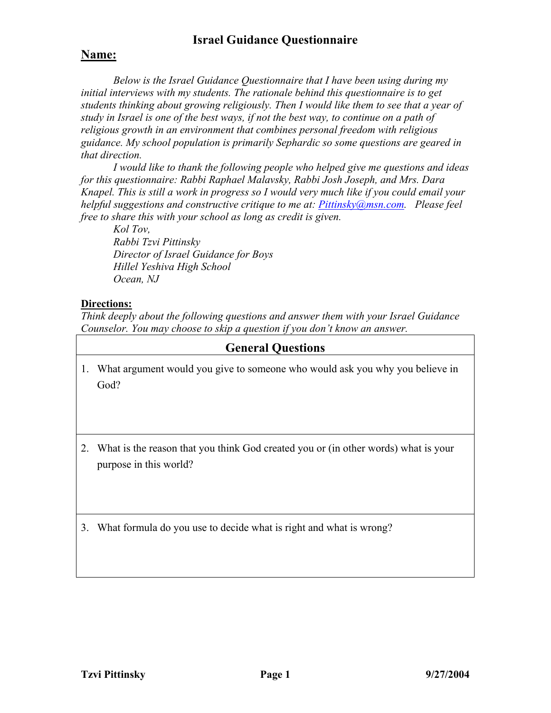## **Israel Guidance Questionnaire**

### **Name:**

*Below is the Israel Guidance Questionnaire that I have been using during my initial interviews with my students. The rationale behind this questionnaire is to get students thinking about growing religiously. Then I would like them to see that a year of study in Israel is one of the best ways, if not the best way, to continue on a path of religious growth in an environment that combines personal freedom with religious guidance. My school population is primarily Sephardic so some questions are geared in that direction.* 

*I would like to thank the following people who helped give me questions and ideas for this questionnaire: Rabbi Raphael Malavsky, Rabbi Josh Joseph, and Mrs. Dara Knapel. This is still a work in progress so I would very much like if you could email your helpful suggestions and constructive critique to me at: [Pittinsky@msn.com](mailto:pittinsky@msn.com). Please feel free to share this with your school as long as credit is given.* 

*Kol Tov, Rabbi Tzvi Pittinsky Director of Israel Guidance for Boys Hillel Yeshiva High School Ocean, NJ* 

#### **Directions:**

*Think deeply about the following questions and answer them with your Israel Guidance Counselor. You may choose to skip a question if you don't know an answer.* 

### **General Questions**

- 1. What argument would you give to someone who would ask you why you believe in God?
- 2. What is the reason that you think God created you or (in other words) what is your purpose in this world?

3. What formula do you use to decide what is right and what is wrong?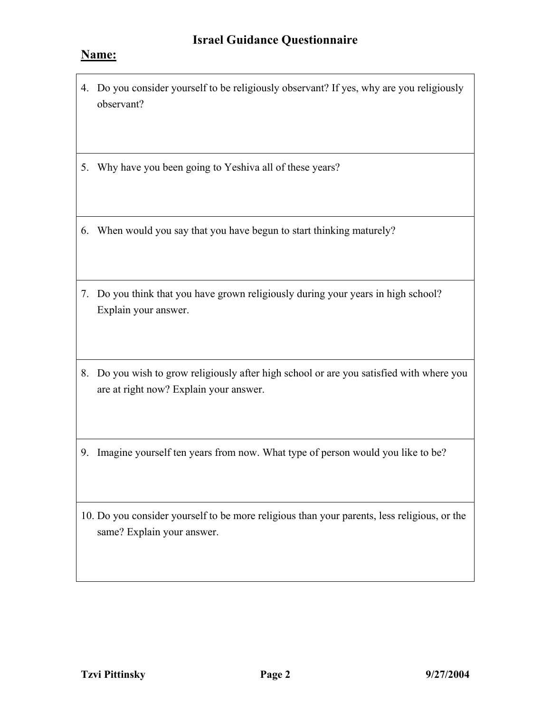### **Israel Guidance Questionnaire**

#### **Name:**

- 4. Do you consider yourself to be religiously observant? If yes, why are you religiously observant?
- 5. Why have you been going to Yeshiva all of these years?
- 6. When would you say that you have begun to start thinking maturely?
- 7. Do you think that you have grown religiously during your years in high school? Explain your answer.
- 8. Do you wish to grow religiously after high school or are you satisfied with where you are at right now? Explain your answer.
- 9. Imagine yourself ten years from now. What type of person would you like to be?
- 10. Do you consider yourself to be more religious than your parents, less religious, or the same? Explain your answer.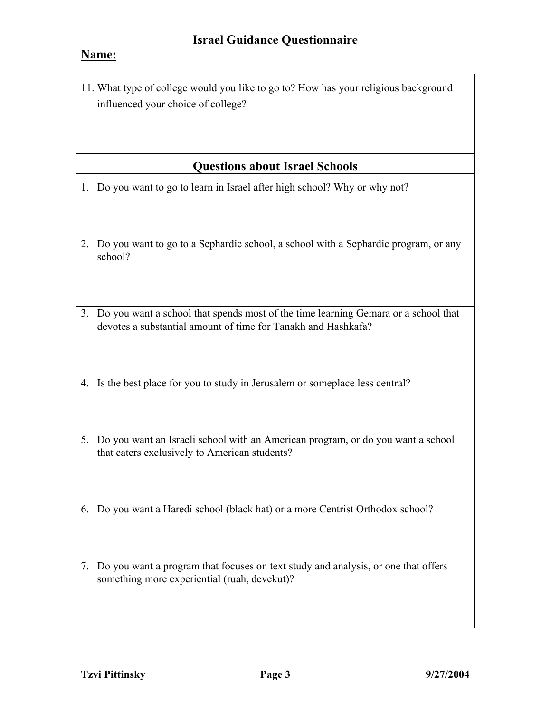## **Name:**

11. What type of college would you like to go to? How has your religious background influenced your choice of college?

# **Questions about Israel Schools**

- 1. Do you want to go to learn in Israel after high school? Why or why not?
- 2. Do you want to go to a Sephardic school, a school with a Sephardic program, or any school?
- 3. Do you want a school that spends most of the time learning Gemara or a school that devotes a substantial amount of time for Tanakh and Hashkafa?
- 4. Is the best place for you to study in Jerusalem or someplace less central?
- 5. Do you want an Israeli school with an American program, or do you want a school that caters exclusively to American students?

6. Do you want a Haredi school (black hat) or a more Centrist Orthodox school?

7. Do you want a program that focuses on text study and analysis, or one that offers something more experiential (ruah, devekut)?